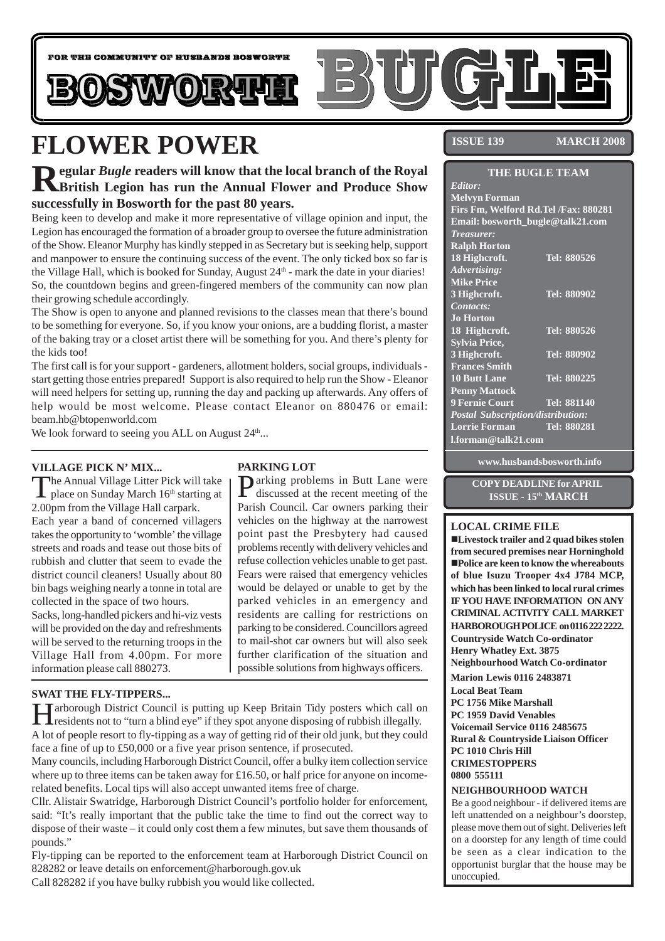

# **FLOWER POWER**

### **Regular** *Bugle* **readers will know that the local branch of the Royal British Legion has run the Annual Flower and Produce Show successfully in Bosworth for the past 80 years.**

Being keen to develop and make it more representative of village opinion and input, the Legion has encouraged the formation of a broader group to oversee the future administration of the Show. Eleanor Murphy has kindly stepped in as Secretary but is seeking help, support and manpower to ensure the continuing success of the event. The only ticked box so far is the Village Hall, which is booked for Sunday, August  $24<sup>th</sup>$  - mark the date in your diaries! So, the countdown begins and green-fingered members of the community can now plan their growing schedule accordingly.

The Show is open to anyone and planned revisions to the classes mean that there's bound to be something for everyone. So, if you know your onions, are a budding florist, a master of the baking tray or a closet artist there will be something for you. And there's plenty for the kids too!

The first call is for your support - gardeners, allotment holders, social groups, individuals start getting those entries prepared! Support is also required to help run the Show - Eleanor will need helpers for setting up, running the day and packing up afterwards. Any offers of help would be most welcome. Please contact Eleanor on 880476 or email: beam.hb@btopenworld.com

We look forward to seeing you ALL on August  $24^{\text{th}}...$ 

### **VILLAGE PICK N' MIX...**

The Annual Village Litter Pick will take<br>place on Sunday March 16<sup>th</sup> starting at 2.00pm from the Village Hall carpark. Each year a band of concerned villagers takes the opportunity to 'womble' the village streets and roads and tease out those bits of rubbish and clutter that seem to evade the district council cleaners! Usually about 80 bin bags weighing nearly a tonne in total are collected in the space of two hours.

Sacks, long-handled pickers and hi-viz vests will be provided on the day and refreshments will be served to the returning troops in the Village Hall from 4.00pm. For more information please call 880273.

#### **SWAT THE FLY-TIPPERS...**

### **PARKING LOT**

Parking problems in Butt Lane were discussed at the recent meeting of the Parish Council. Car owners parking their vehicles on the highway at the narrowest point past the Presbytery had caused problems recently with delivery vehicles and refuse collection vehicles unable to get past. Fears were raised that emergency vehicles would be delayed or unable to get by the parked vehicles in an emergency and residents are calling for restrictions on parking to be considered. Councillors agreed to mail-shot car owners but will also seek further clarification of the situation and possible solutions from highways officers.

Harborough District Council is putting up Keep Britain Tidy posters which call on residents not to "turn a blind eye" if they spot anyone disposing of rubbish illegally. A lot of people resort to fly-tipping as a way of getting rid of their old junk, but they could face a fine of up to £50,000 or a five year prison sentence, if prosecuted.

Many councils, including Harborough District Council, offer a bulky item collection service where up to three items can be taken away for £16.50, or half price for anyone on incomerelated benefits. Local tips will also accept unwanted items free of charge.

Cllr. Alistair Swatridge, Harborough District Council's portfolio holder for enforcement, said: "It's really important that the public take the time to find out the correct way to dispose of their waste – it could only cost them a few minutes, but save them thousands of pounds."

Fly-tipping can be reported to the enforcement team at Harborough District Council on 828282 or leave details on enforcement@harborough.gov.uk

Call 828282 if you have bulky rubbish you would like collected.

**ISSUE 139 MARCH 2008**

| <b>THE BUGLE TEAM</b>                    |                    |
|------------------------------------------|--------------------|
| Editor:                                  |                    |
| <b>Melvyn Forman</b>                     |                    |
| Firs Fm, Welford Rd. Tel /Fax: 880281    |                    |
| Email: bosworth_bugle@talk21.com         |                    |
| <i>Treasurer:</i>                        |                    |
| <b>Ralph Horton</b>                      |                    |
| 18 Highcroft.                            | Tel: 880526        |
| Advertising:                             |                    |
| <b>Mike Price</b>                        |                    |
| 3 Highcroft.                             | Tel: 880902        |
| Contacts:                                |                    |
| <b>Jo Horton</b>                         |                    |
| 18 Highcroft.                            | Tel: 880526        |
| <b>Sylvia Price,</b>                     |                    |
| 3 Highcroft.                             | Tel: 880902        |
| <b>Frances Smith</b>                     |                    |
| <b>10 Butt Lane</b>                      | Tel: 880225        |
| <b>Penny Mattock</b>                     |                    |
| <b>9 Fernie Court</b>                    | <b>Tel: 881140</b> |
| <b>Postal Subscription/distribution:</b> |                    |
| <b>Lorrie Forman</b>                     | Tel: 880281        |
| l.forman@talk21.com                      |                    |

**www.husbandsbosworth.info**

**COPY DEADLINE for APRIL ISSUE - 15th MARCH**

#### **LOCAL CRIME FILE**

!**Livestock trailer and 2 quad bikes stolen from secured premises near Horninghold** !**Police are keen to know the whereabouts of blue Isuzu Trooper 4x4 J784 MCP, which has been linked to local rural crimes IF YOU HAVE INFORMATION ON ANY CRIMINAL ACTIVITY CALL MARKET HARBOROUGH POLICE on 0116 222 2222. Countryside Watch Co-ordinator Henry Whatley Ext. 3875 Neighbourhood Watch Co-ordinator**

**Marion Lewis 0116 2483871**

**Local Beat Team PC 1756 Mike Marshall PC 1959 David Venables Voicemail Service 0116 2485675 Rural & Countryside Liaison Officer PC 1010 Chris Hill CRIMESTOPPERS 0800 555111**

#### **NEIGHBOURHOOD WATCH**

Be a good neighbour - if delivered items are left unattended on a neighbour's doorstep, please move them out of sight. Deliveries left on a doorstep for any length of time could be seen as a clear indication to the opportunist burglar that the house may be unoccupied.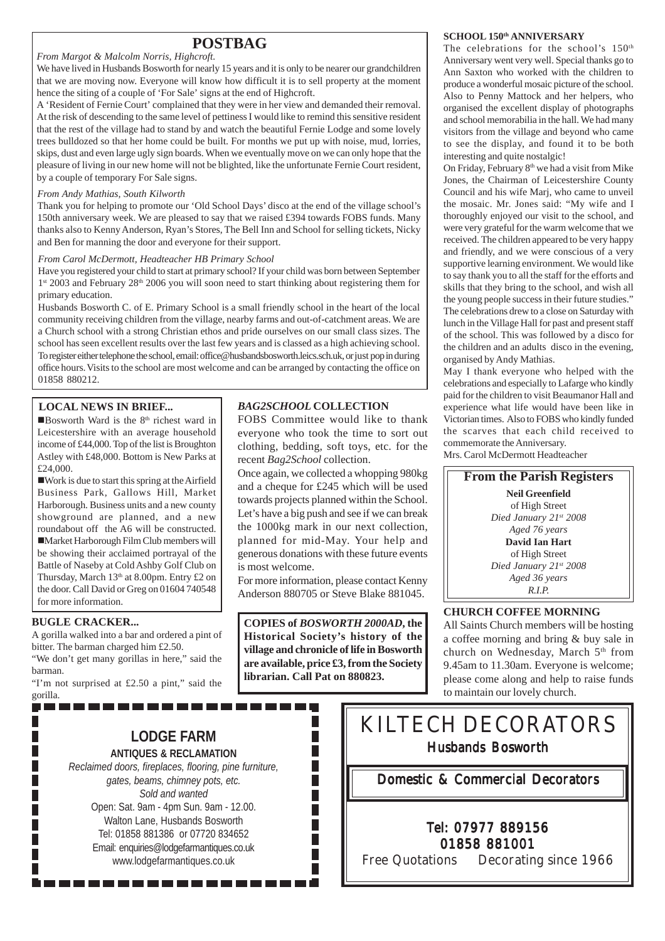### **POSTBAG**

#### *From Margot & Malcolm Norris, Highcroft.*

We have lived in Husbands Bosworth for nearly 15 years and it is only to be nearer our grandchildren that we are moving now. Everyone will know how difficult it is to sell property at the moment hence the siting of a couple of 'For Sale' signs at the end of Highcroft.

A 'Resident of Fernie Court' complained that they were in her view and demanded their removal. At the risk of descending to the same level of pettiness I would like to remind this sensitive resident that the rest of the village had to stand by and watch the beautiful Fernie Lodge and some lovely trees bulldozed so that her home could be built. For months we put up with noise, mud, lorries, skips, dust and even large ugly sign boards. When we eventually move on we can only hope that the pleasure of living in our new home will not be blighted, like the unfortunate Fernie Court resident, by a couple of temporary For Sale signs.

#### *From Andy Mathias, South Kilworth*

Thank you for helping to promote our 'Old School Days' disco at the end of the village school's 150th anniversary week. We are pleased to say that we raised £394 towards FOBS funds. Many thanks also to Kenny Anderson, Ryan's Stores, The Bell Inn and School for selling tickets, Nicky and Ben for manning the door and everyone for their support.

#### *From Carol McDermott, Headteacher HB Primary School*

Have you registered your child to start at primary school? If your child was born between September 1st 2003 and February 28<sup>th</sup> 2006 you will soon need to start thinking about registering them for primary education.

Husbands Bosworth C. of E. Primary School is a small friendly school in the heart of the local community receiving children from the village, nearby farms and out-of-catchment areas. We are a Church school with a strong Christian ethos and pride ourselves on our small class sizes. The school has seen excellent results over the last few years and is classed as a high achieving school. To register either telephone the school, email: office@husbandsbosworth.leics.sch.uk, or just pop in during office hours. Visits to the school are most welcome and can be arranged by contacting the office on 01858 880212.

#### **LOCAL NEWS IN BRIEF...**

**Bosworth Ward is the 8th richest ward in** Leicestershire with an average household income of £44,000. Top of the list is Broughton Astley with £48,000. Bottom is New Parks at £24,000.

!Work is due to start this spring at the Airfield Business Park, Gallows Hill, Market Harborough. Business units and a new county showground are planned, and a new roundabout off the A6 will be constructed. !Market Harborough Film Club members will be showing their acclaimed portrayal of the Battle of Naseby at Cold Ashby Golf Club on Thursday, March 13th at 8.00pm. Entry £2 on the door. Call David or Greg on 01604 740548 for more information.

### **BUGLE CRACKER...**

П

П

A gorilla walked into a bar and ordered a pint of bitter. The barman charged him £2.50.

"We don't get many gorillas in here," said the barman.

"I'm not surprised at £2.50 a pint," said the gorilla.-----------------

### *BAG2SCHOOL* **COLLECTION**

FOBS Committee would like to thank everyone who took the time to sort out clothing, bedding, soft toys, etc. for the recent *Bag2School* collection.

Once again, we collected a whopping 980kg and a cheque for £245 which will be used towards projects planned within the School. Let's have a big push and see if we can break the 1000kg mark in our next collection, planned for mid-May. Your help and generous donations with these future events is most welcome.

For more information, please contact Kenny Anderson 880705 or Steve Blake 881045.

**COPIES of** *BOSWORTH 2000AD***, the Historical Society's history of the village and chronicle of life in Bosworth are available, price £3, from the Society librarian. Call Pat on 880823.**

H

 $\overline{\phantom{a}}$ 

I. F П  $\overline{\phantom{a}}$  $\overline{\phantom{a}}$ П П

#### SCHOOL 150th ANNIVERSARY

The celebrations for the school's 150<sup>th</sup> Anniversary went very well. Special thanks go to Ann Saxton who worked with the children to produce a wonderful mosaic picture of the school. Also to Penny Mattock and her helpers, who organised the excellent display of photographs and school memorabilia in the hall. We had many visitors from the village and beyond who came to see the display, and found it to be both interesting and quite nostalgic!

On Friday, February  $8<sup>th</sup>$  we had a visit from Mike Jones, the Chairman of Leicestershire County Council and his wife Marj, who came to unveil the mosaic. Mr. Jones said: "My wife and I thoroughly enjoyed our visit to the school, and were very grateful for the warm welcome that we received. The children appeared to be very happy and friendly, and we were conscious of a very supportive learning environment. We would like to say thank you to all the staff for the efforts and skills that they bring to the school, and wish all the young people success in their future studies." The celebrations drew to a close on Saturday with lunch in the Village Hall for past and present staff of the school. This was followed by a disco for the children and an adults disco in the evening, organised by Andy Mathias.

May I thank everyone who helped with the celebrations and especially to Lafarge who kindly paid for the children to visit Beaumanor Hall and experience what life would have been like in Victorian times. Also to FOBS who kindly funded the scarves that each child received to commemorate the Anniversary.

Mrs. Carol McDermott Headteacher



### **CHURCH COFFEE MORNING**

All Saints Church members will be hosting a coffee morning and bring & buy sale in church on Wednesday, March 5<sup>th</sup> from 9.45am to 11.30am. Everyone is welcome; please come along and help to raise funds to maintain our lovely church.

### **LODGE FARM ANTIQUES & RECLAMATION**

*Reclaimed doors, fireplaces, flooring, pine furniture, gates, beams, chimney pots, etc. Sold and wanted* Open: Sat. 9am - 4pm Sun. 9am - 12.00. Walton Lane, Husbands Bosworth Tel: 01858 881386 or 07720 834652 Email: enquiries@lodgefarmantiques.co.uk www.lodgefarmantiques.co.uk

## KILTECH DECORATORS Husbands Bosworth

Domestic & Commercial Decorators

### Tel: 07977 889156 01858 881001

Free Quotations Decorating since 1966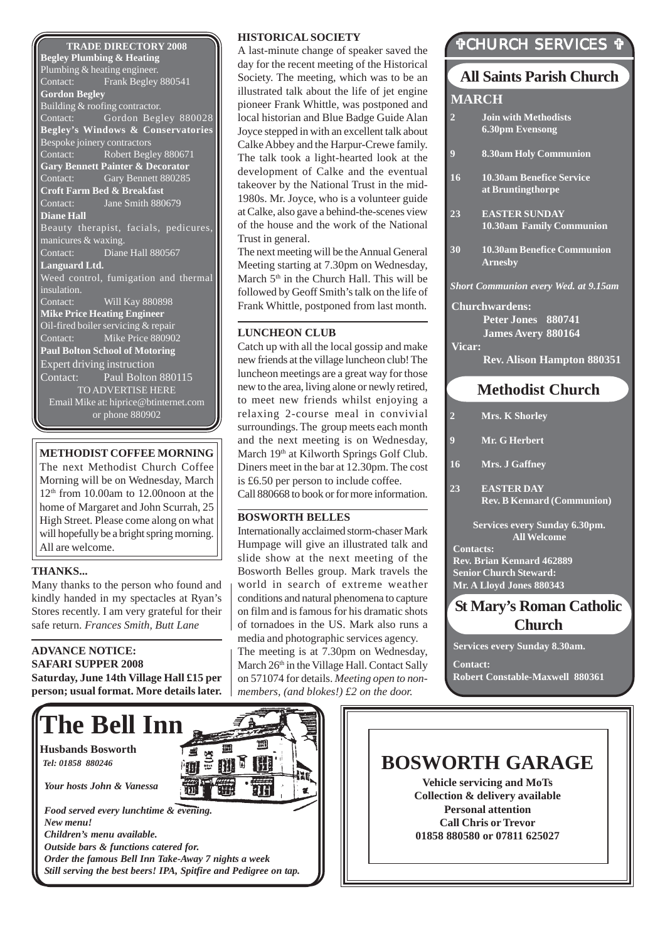#### **TRADE DIRECTORY 2008 Begley Plumbing & Heating** Plumbing & heating engineer. Contact: Frank Begley 880541 **Gordon Begley** Building & roofing contractor. Contact: Gordon Begley 880028 **Begley's Windows & Conservatories** Bespoke joinery contractors<br>Contact: Robert Begl Robert Begley 880671 **Gary Bennett Painter & Decorator** Contact: Gary Bennett 880285 **Croft Farm Bed & Breakfast** Contact: Jane Smith 880679 **Diane Hall** Beauty therapist, facials, pedicures, manicures & waxing. Contact: Diane Hall 880567 **Languard Ltd.** Weed control, fumigation and thermal insulation. Contact: Will Kay 880898 **Mike Price Heating Engineer** Oil-fired boiler servicing & repair Contact: Mike Price 880902 **Paul Bolton School of Motoring** Expert driving instruction Contact: Paul Bolton 880115 TO ADVERTISE HERE Email Mike at: hiprice@btinternet.com or phone 880902

### **METHODIST COFFEE MORNING**

The next Methodist Church Coffee Morning will be on Wednesday, March 12th from 10.00am to 12.00noon at the home of Margaret and John Scurrah, 25 High Street. Please come along on what will hopefully be a bright spring morning. All are welcome.

#### **THANKS...**

Many thanks to the person who found and kindly handed in my spectacles at Ryan's Stores recently. I am very grateful for their safe return. *Frances Smith, Butt Lane*

### **ADVANCE NOTICE: SAFARI SUPPER 2008**

**Saturday, June 14th Village Hall £15 per person; usual format. More details later.**

### **HISTORICAL SOCIETY**

A last-minute change of speaker saved the day for the recent meeting of the Historical Society. The meeting, which was to be an illustrated talk about the life of jet engine pioneer Frank Whittle, was postponed and local historian and Blue Badge Guide Alan Joyce stepped in with an excellent talk about Calke Abbey and the Harpur-Crewe family. The talk took a light-hearted look at the development of Calke and the eventual takeover by the National Trust in the mid-1980s. Mr. Joyce, who is a volunteer guide at Calke, also gave a behind-the-scenes view of the house and the work of the National Trust in general.

The next meeting will be the Annual General Meeting starting at 7.30pm on Wednesday, March  $5<sup>th</sup>$  in the Church Hall. This will be followed by Geoff Smith's talk on the life of Frank Whittle, postponed from last month.

### **LUNCHEON CLUB**

Catch up with all the local gossip and make new friends at the village luncheon club! The luncheon meetings are a great way for those new to the area, living alone or newly retired, to meet new friends whilst enjoying a relaxing 2-course meal in convivial surroundings. The group meets each month and the next meeting is on Wednesday, March 19<sup>th</sup> at Kilworth Springs Golf Club. Diners meet in the bar at 12.30pm. The cost is £6.50 per person to include coffee. Call 880668 to book or for more information.

### **BOSWORTH BELLES**

Internationally acclaimed storm-chaser Mark Humpage will give an illustrated talk and slide show at the next meeting of the Bosworth Belles group. Mark travels the world in search of extreme weather conditions and natural phenomena to capture on film and is famous for his dramatic shots of tornadoes in the US. Mark also runs a media and photographic services agency. The meeting is at 7.30pm on Wednesday, March 26<sup>th</sup> in the Village Hall. Contact Sally on 571074 for details. *Meeting open to nonmembers, (and blokes!) £2 on the door.*

### "CHURCH SERVICES "

### **Methodist Church All Saints Parish Church Contacts: MARCH 2 Mrs. K Shorley 9 Mr. G Herbert 16 Mrs. J Gaffney 23 EASTER DAY Rev. B Kennard (Communion) Services every Sunday 6.30pm. All Welcome 2 Join with Methodists 6.30pm Evensong 9 8.30am Holy Communion 16 10.30am Benefice Service at Bruntingthorpe 23 EASTER SUNDAY 10.30am Family Communion 30 10.30am Benefice Communion Arnesby** *Short Communion every Wed. at 9.15am* **Churchwardens: Peter Jones 880741 James Avery 880164 Vicar: Rev. Alison Hampton 880351**

**Rev. Brian Kennard 462889 Senior Church Steward: Mr. A Lloyd Jones 880343**

### **St Mary's Roman Catholic Church**

**Services every Sunday 8.30am.**

**Contact: Robert Constable-Maxwell 880361**



**BOSWORTH GARAGE Vehicle servicing and MoTs Collection & delivery available Personal attention**

**Call Chris or Trevor 01858 880580 or 07811 625027**